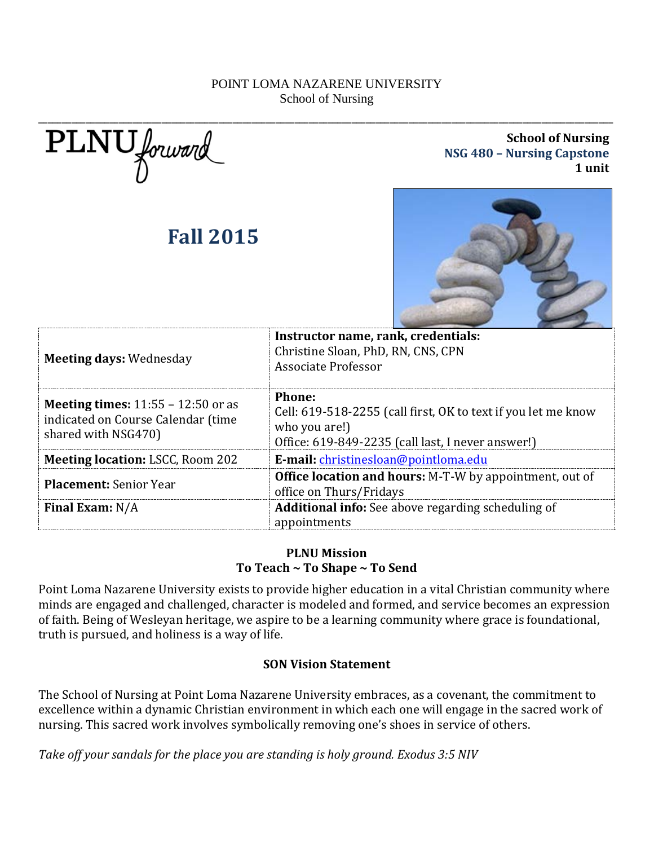PLNU forward

# **Fall 2015**

**School of Nursing NSG 480 – Nursing Capstone 1 unit**



| <b>Meeting days: Wednesday</b>                                                                           | Instructor name, rank, credentials:<br>Christine Sloan, PhD, RN, CNS, CPN<br>Associate Professor                                                     |
|----------------------------------------------------------------------------------------------------------|------------------------------------------------------------------------------------------------------------------------------------------------------|
| <b>Meeting times:</b> $11:55 - 12:50$ or as<br>indicated on Course Calendar (time<br>shared with NSG470) | <b>Phone:</b><br>Cell: 619-518-2255 (call first, OK to text if you let me know<br>who you are!)<br>Office: 619-849-2235 (call last, I never answer!) |
| <b>Meeting location: LSCC, Room 202</b>                                                                  | E-mail: christinesloan@pointloma.edu                                                                                                                 |
| <b>Placement: Senior Year</b>                                                                            | <b>Office location and hours:</b> M-T-W by appointment, out of<br>office on Thurs/Fridays                                                            |
| Final Exam: $N/A$                                                                                        | Additional info: See above regarding scheduling of<br>appointments                                                                                   |

## **PLNU Mission To Teach ~ To Shape ~ To Send**

Point Loma Nazarene University exists to provide higher education in a vital Christian community where minds are engaged and challenged, character is modeled and formed, and service becomes an expression of faith. Being of Wesleyan heritage, we aspire to be a learning community where grace is foundational, truth is pursued, and holiness is a way of life.

## **SON Vision Statement**

The School of Nursing at Point Loma Nazarene University embraces, as a covenant, the commitment to excellence within a dynamic Christian environment in which each one will engage in the sacred work of nursing. This sacred work involves symbolically removing one's shoes in service of others.

*Take off your sandals for the place you are standing is holy ground. Exodus 3:5 NIV*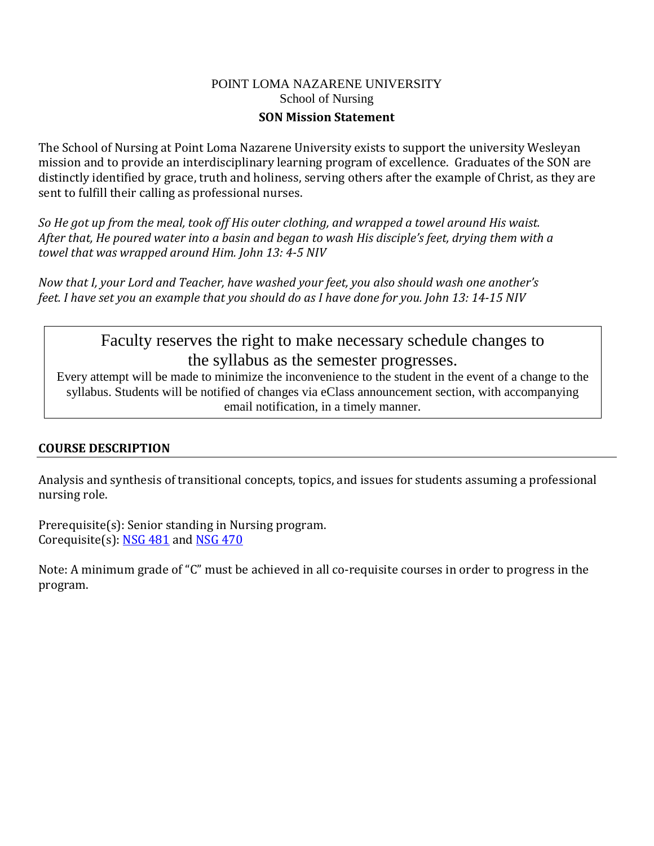#### POINT LOMA NAZARENE UNIVERSITY School of Nursing **SON Mission Statement**

The School of Nursing at Point Loma Nazarene University exists to support the university Wesleyan mission and to provide an interdisciplinary learning program of excellence. Graduates of the SON are distinctly identified by grace, truth and holiness, serving others after the example of Christ, as they are sent to fulfill their calling as professional nurses.

*So He got up from the meal, took off His outer clothing, and wrapped a towel around His waist. After that, He poured water into a basin and began to wash His disciple's feet, drying them with a towel that was wrapped around Him. John 13: 4-5 NIV* 

*Now that I, your Lord and Teacher, have washed your feet, you also should wash one another's feet. I have set you an example that you should do as I have done for you. John 13: 14-15 NIV* 

# Faculty reserves the right to make necessary schedule changes to the syllabus as the semester progresses.<br>Every attempt will be made to minimize the inconvenience to the student in the event of a change to the

syllabus. Students will be notified of changes via eClass announcement section, with accompanying email notification, in a timely manner.

## **COURSE DESCRIPTION**

Analysis and synthesis of transitional concepts, topics, and issues for students assuming a professional nursing role.

Prerequisite(s): Senior standing in Nursing program. Corequisite(s): [NSG 481](http://catalog.pointloma.edu/preview_program.php?catoid=10&poid=536&returnto=1006%23tt5372) and [NSG 470](http://catalog.pointloma.edu/preview_program.php?catoid=10&poid=536&returnto=1006%23tt1502)

Note: A minimum grade of "C" must be achieved in all co-requisite courses in order to progress in the program.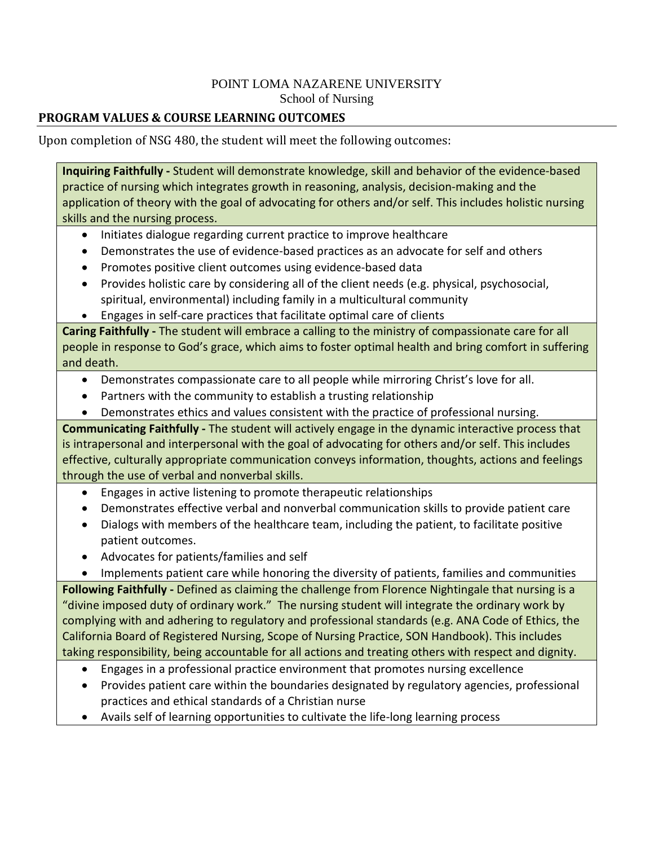## **PROGRAM VALUES & COURSE LEARNING OUTCOMES**

Upon completion of NSG 480, the student will meet the following outcomes:

**Inquiring Faithfully -** Student will demonstrate knowledge, skill and behavior of the evidence-based practice of nursing which integrates growth in reasoning, analysis, decision-making and the application of theory with the goal of advocating for others and/or self. This includes holistic nursing skills and the nursing process.

- Initiates dialogue regarding current practice to improve healthcare
- Demonstrates the use of evidence-based practices as an advocate for self and others
- Promotes positive client outcomes using evidence-based data
- Provides holistic care by considering all of the client needs (e.g. physical, psychosocial, spiritual, environmental) including family in a multicultural community
- Engages in self-care practices that facilitate optimal care of clients

**Caring Faithfully -** The student will embrace a calling to the ministry of compassionate care for all people in response to God's grace, which aims to foster optimal health and bring comfort in suffering and death.

- Demonstrates compassionate care to all people while mirroring Christ's love for all.
- Partners with the community to establish a trusting relationship
- Demonstrates ethics and values consistent with the practice of professional nursing.

**Communicating Faithfully -** The student will actively engage in the dynamic interactive process that is intrapersonal and interpersonal with the goal of advocating for others and/or self. This includes effective, culturally appropriate communication conveys information, thoughts, actions and feelings through the use of verbal and nonverbal skills.

- Engages in active listening to promote therapeutic relationships
- Demonstrates effective verbal and nonverbal communication skills to provide patient care
- Dialogs with members of the healthcare team, including the patient, to facilitate positive patient outcomes.
- Advocates for patients/families and self

• Implements patient care while honoring the diversity of patients, families and communities **Following Faithfully -** Defined as claiming the challenge from Florence Nightingale that nursing is a "divine imposed duty of ordinary work." The nursing student will integrate the ordinary work by complying with and adhering to regulatory and professional standards (e.g. ANA Code of Ethics, the California Board of Registered Nursing, Scope of Nursing Practice, SON Handbook). This includes taking responsibility, being accountable for all actions and treating others with respect and dignity.

- Engages in a professional practice environment that promotes nursing excellence
- Provides patient care within the boundaries designated by regulatory agencies, professional practices and ethical standards of a Christian nurse
- Avails self of learning opportunities to cultivate the life-long learning process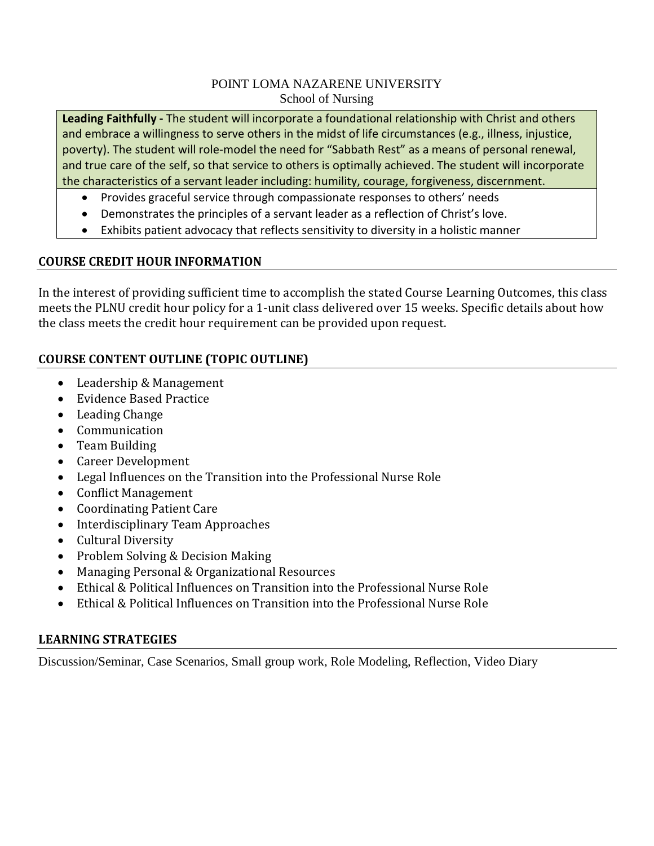**Leading Faithfully -** The student will incorporate a foundational relationship with Christ and others and embrace a willingness to serve others in the midst of life circumstances (e.g., illness, injustice, poverty). The student will role-model the need for "Sabbath Rest" as a means of personal renewal, and true care of the self, so that service to others is optimally achieved. The student will incorporate the characteristics of a servant leader including: humility, courage, forgiveness, discernment.

- Provides graceful service through compassionate responses to others' needs
- Demonstrates the principles of a servant leader as a reflection of Christ's love.
- Exhibits patient advocacy that reflects sensitivity to diversity in a holistic manner

## **COURSE CREDIT HOUR INFORMATION**

In the interest of providing sufficient time to accomplish the stated Course Learning Outcomes, this class meets the PLNU credit hour policy for a 1-unit class delivered over 15 weeks. Specific details about how the class meets the credit hour requirement can be provided upon request.

## **COURSE CONTENT OUTLINE (TOPIC OUTLINE)**

- Leadership & Management
- Evidence Based Practice
- Leading Change
- Communication
- Team Building
- Career Development
- Legal Influences on the Transition into the Professional Nurse Role
- Conflict Management
- Coordinating Patient Care
- Interdisciplinary Team Approaches
- Cultural Diversity
- Problem Solving & Decision Making
- Managing Personal & Organizational Resources
- Ethical & Political Influences on Transition into the Professional Nurse Role
- Ethical & Political Influences on Transition into the Professional Nurse Role

## **LEARNING STRATEGIES**

Discussion/Seminar, Case Scenarios, Small group work, Role Modeling, Reflection, Video Diary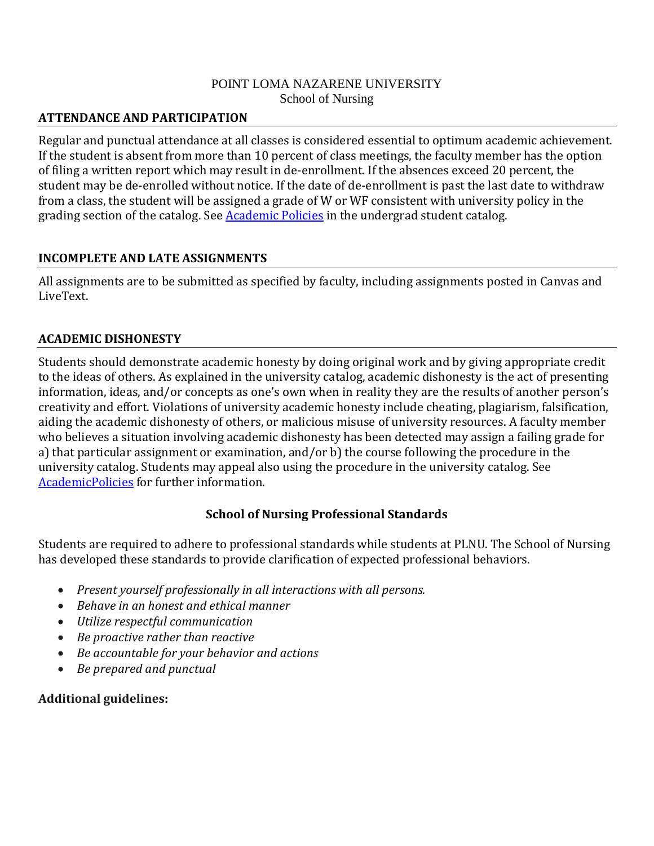## **ATTENDANCE AND PARTICIPATION**

Regular and punctual attendance at all classes is considered essential to optimum academic achievement. If the student is absent from more than 10 percent of class meetings, the faculty member has the option of filing a written report which may result in de-enrollment. If the absences exceed 20 percent, the student may be de-enrolled without notice. If the date of de-enrollment is past the last date to withdraw from a class, the student will be assigned a grade of W or WF consistent with university policy in the grading section of the catalog. See **Academic Policies** in the undergrad student catalog.

## **INCOMPLETE AND LATE ASSIGNMENTS**

All assignments are to be submitted as specified by faculty, including assignments posted in Canvas and LiveText.

## **ACADEMIC DISHONESTY**

Students should demonstrate academic honesty by doing original work and by giving appropriate credit to the ideas of others. As explained in the university catalog, academic dishonesty is the act of presenting information, ideas, and/or concepts as one's own when in reality they are the results of another person's creativity and effort. Violations of university academic honesty include cheating, plagiarism, falsification, aiding the academic dishonesty of others, or malicious misuse of university resources. A faculty member who believes a situation involving academic dishonesty has been detected may assign a failing grade for a) that particular assignment or examination, and/or b) the course following the procedure in the university catalog. Students may appeal also using the procedure in the university catalog. See [AcademicPolicies](http://www.pointloma.edu/experience/academics/catalogs/undergraduate-catalog/point-loma-education/academic-policies) for further information.

## **School of Nursing Professional Standards**

Students are required to adhere to professional standards while students at PLNU. The School of Nursing has developed these standards to provide clarification of expected professional behaviors.

- *Present yourself professionally in all interactions with all persons.*
- *Behave in an honest and ethical manner*
- *Utilize respectful communication*
- *Be proactive rather than reactive*
- *Be accountable for your behavior and actions*
- *Be prepared and punctual*

## **Additional guidelines:**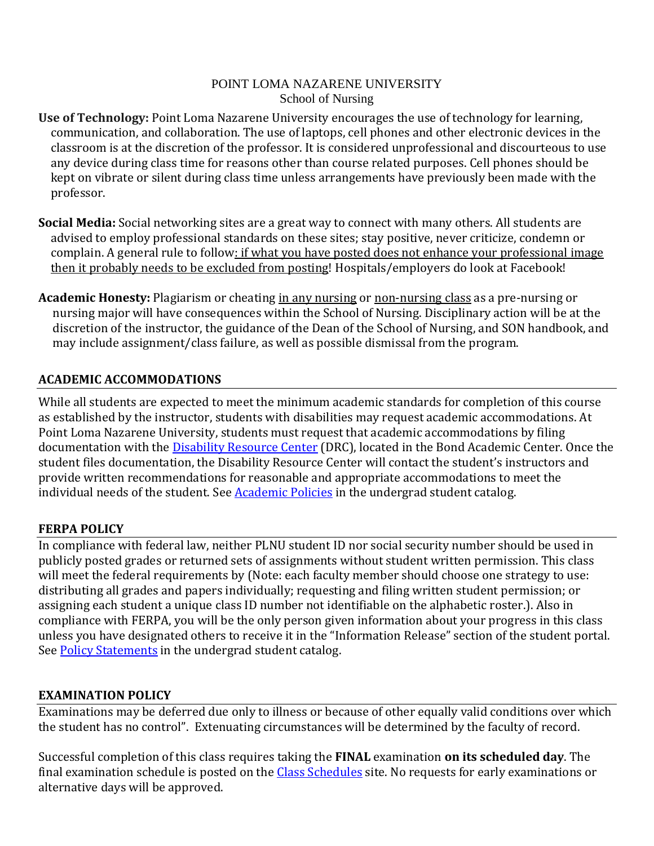- **Use of Technology:** Point Loma Nazarene University encourages the use of technology for learning, communication, and collaboration. The use of laptops, cell phones and other electronic devices in the classroom is at the discretion of the professor. It is considered unprofessional and discourteous to use any device during class time for reasons other than course related purposes. Cell phones should be kept on vibrate or silent during class time unless arrangements have previously been made with the professor.
- **Social Media:** Social networking sites are a great way to connect with many others. All students are advised to employ professional standards on these sites; stay positive, never criticize, condemn or complain. A general rule to follow: if what you have posted does not enhance your professional image then it probably needs to be excluded from posting! Hospitals/employers do look at Facebook!
- **Academic Honesty:** Plagiarism or cheating in any nursing or non-nursing class as a pre-nursing or nursing major will have consequences within the School of Nursing. Disciplinary action will be at the discretion of the instructor, the guidance of the Dean of the School of Nursing, and SON handbook, and may include assignment/class failure, as well as possible dismissal from the program.

## **ACADEMIC ACCOMMODATIONS**

While all students are expected to meet the minimum academic standards for completion of this course as established by the instructor, students with disabilities may request academic accommodations. At Point Loma Nazarene University, students must request that academic accommodations by filing documentation with the [Disability Resource Center](http://www.pointloma.edu/experience/offices/administrative-offices/academic-advising-office/disability-resource-center) (DRC), located in the Bond Academic Center. Once the student files documentation, the Disability Resource Center will contact the student's instructors and provide written recommendations for reasonable and appropriate accommodations to meet the individual needs of the student. See **Academic Policies** in the undergrad student catalog.

## **FERPA POLICY**

In compliance with federal law, neither PLNU student ID nor social security number should be used in publicly posted grades or returned sets of assignments without student written permission. This class will meet the federal requirements by (Note: each faculty member should choose one strategy to use: distributing all grades and papers individually; requesting and filing written student permission; or assigning each student a unique class ID number not identifiable on the alphabetic roster.). Also in compliance with FERPA, you will be the only person given information about your progress in this class unless you have designated others to receive it in the "Information Release" section of the student portal. See [Policy Statements](http://www.pointloma.edu/experience/academics/catalogs/undergraduate-catalog/policy-statements) in the undergrad student catalog.

## **EXAMINATION POLICY**

Examinations may be deferred due only to illness or because of other equally valid conditions over which the student has no control". Extenuating circumstances will be determined by the faculty of record.

Successful completion of this class requires taking the **FINAL** examination **on its scheduled day**. The final examination schedule is posted on the [Class Schedules](http://www.pointloma.edu/experience/academics/class-schedules) site. No requests for early examinations or alternative days will be approved.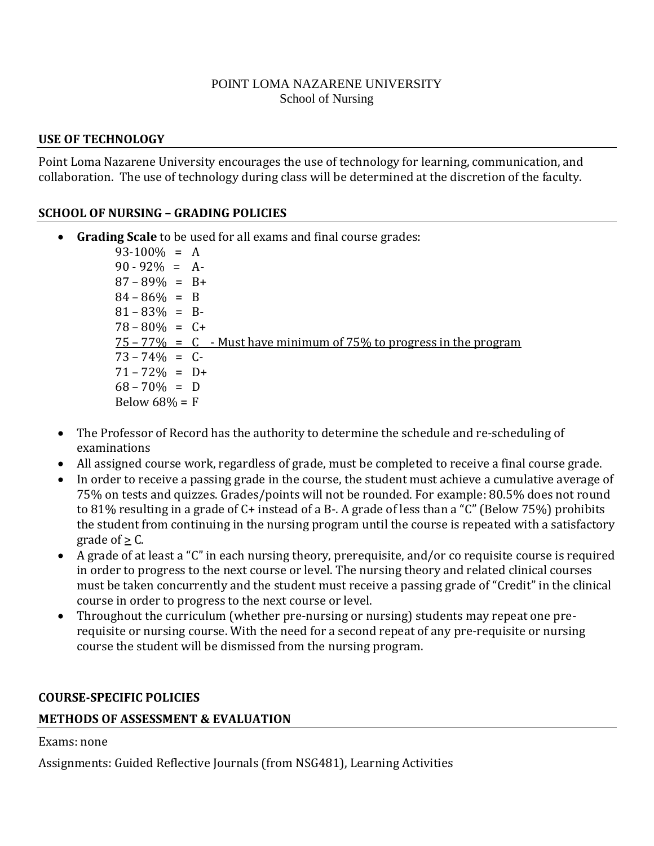#### **USE OF TECHNOLOGY**

Point Loma Nazarene University encourages the use of technology for learning, communication, and collaboration. The use of technology during class will be determined at the discretion of the faculty.

## **SCHOOL OF NURSING – GRADING POLICIES**

• **Grading Scale** to be used for all exams and final course grades:

 $93-100\% = A$  $90 - 92\% = A$  $87 - 89\% = B +$  $84 - 86\% = B$  $81 - 83\% = B$  $78 - 80\% = C +$  $75 - 77\% = C$  - Must have minimum of 75% to progress in the program  $73 - 74\% = C$  $71 - 72\% = D+$  $68 - 70\% = D$ Below  $68% = F$ 

- The Professor of Record has the authority to determine the schedule and re-scheduling of examinations
- All assigned course work, regardless of grade, must be completed to receive a final course grade.
- In order to receive a passing grade in the course, the student must achieve a cumulative average of 75% on tests and quizzes. Grades/points will not be rounded. For example: 80.5% does not round to 81% resulting in a grade of C+ instead of a B-. A grade of less than a "C" (Below 75%) prohibits the student from continuing in the nursing program until the course is repeated with a satisfactory grade of  $\geq$  C.
- A grade of at least a "C" in each nursing theory, prerequisite, and/or co requisite course is required in order to progress to the next course or level. The nursing theory and related clinical courses must be taken concurrently and the student must receive a passing grade of "Credit" in the clinical course in order to progress to the next course or level.
- Throughout the curriculum (whether pre-nursing or nursing) students may repeat one prerequisite or nursing course. With the need for a second repeat of any pre-requisite or nursing course the student will be dismissed from the nursing program.

#### **COURSE-SPECIFIC POLICIES**

## **METHODS OF ASSESSMENT & EVALUATION**

## Exams: none

Assignments: Guided Reflective Journals (from NSG481), Learning Activities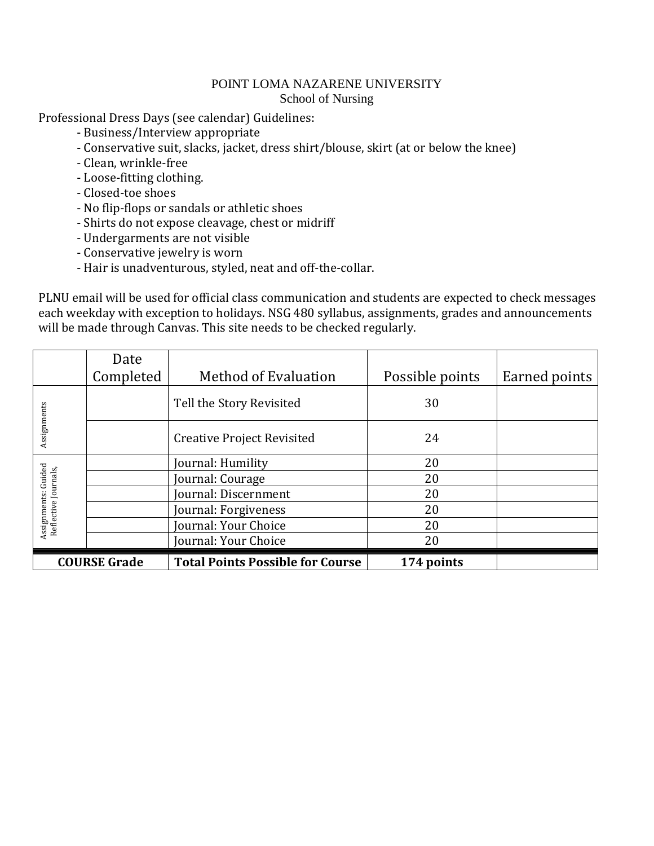Professional Dress Days (see calendar) Guidelines:

- Business/Interview appropriate
- Conservative suit, slacks, jacket, dress shirt/blouse, skirt (at or below the knee)
- Clean, wrinkle-free
- Loose-fitting clothing.
- Closed-toe shoes
- No flip-flops or sandals or athletic shoes
- Shirts do not expose cleavage, chest or midriff
- Undergarments are not visible
- Conservative jewelry is worn
- Hair is unadventurous, styled, neat and off-the-collar.

PLNU email will be used for official class communication and students are expected to check messages each weekday with exception to holidays. NSG 480 syllabus, assignments, grades and announcements will be made through Canvas. This site needs to be checked regularly.

|                                             | Date      |                                         |                 |               |
|---------------------------------------------|-----------|-----------------------------------------|-----------------|---------------|
|                                             | Completed | <b>Method of Evaluation</b>             | Possible points | Earned points |
|                                             |           | Tell the Story Revisited                | 30              |               |
| Assignments                                 |           | <b>Creative Project Revisited</b>       | 24              |               |
|                                             |           | Journal: Humility                       | 20              |               |
|                                             |           | Journal: Courage                        | 20              |               |
|                                             |           | Journal: Discernment                    | 20              |               |
| Assignments: Guided<br>Reflective Journals, |           | Journal: Forgiveness                    | 20              |               |
|                                             |           | Journal: Your Choice                    | 20              |               |
|                                             |           | Journal: Your Choice                    | 20              |               |
| <b>COURSE Grade</b>                         |           | <b>Total Points Possible for Course</b> | 174 points      |               |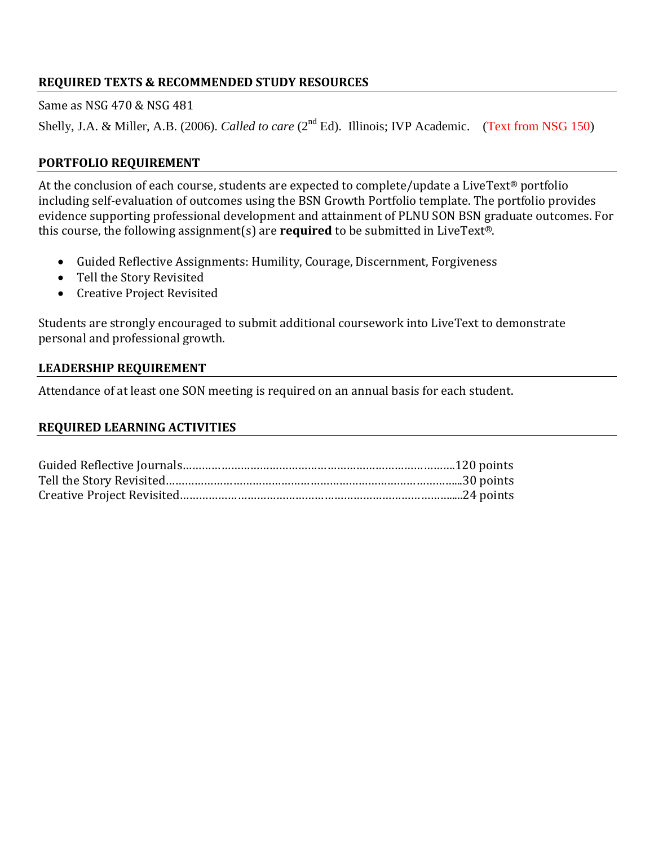## **REQUIRED TEXTS & RECOMMENDED STUDY RESOURCES**

Same as NSG 470 & NSG 481

Shelly, J.A. & Miller, A.B. (2006). *Called to care* (2<sup>nd</sup> Ed). Illinois; IVP Academic. (Text from NSG 150)

## **PORTFOLIO REQUIREMENT**

At the conclusion of each course, students are expected to complete/update a LiveText® portfolio including self-evaluation of outcomes using the BSN Growth Portfolio template. The portfolio provides evidence supporting professional development and attainment of PLNU SON BSN graduate outcomes. For this course, the following assignment(s) are **required** to be submitted in LiveText®.

- Guided Reflective Assignments: Humility, Courage, Discernment, Forgiveness
- Tell the Story Revisited
- Creative Project Revisited

Students are strongly encouraged to submit additional coursework into LiveText to demonstrate personal and professional growth.

#### **LEADERSHIP REQUIREMENT**

Attendance of at least one SON meeting is required on an annual basis for each student.

### **REQUIRED LEARNING ACTIVITIES**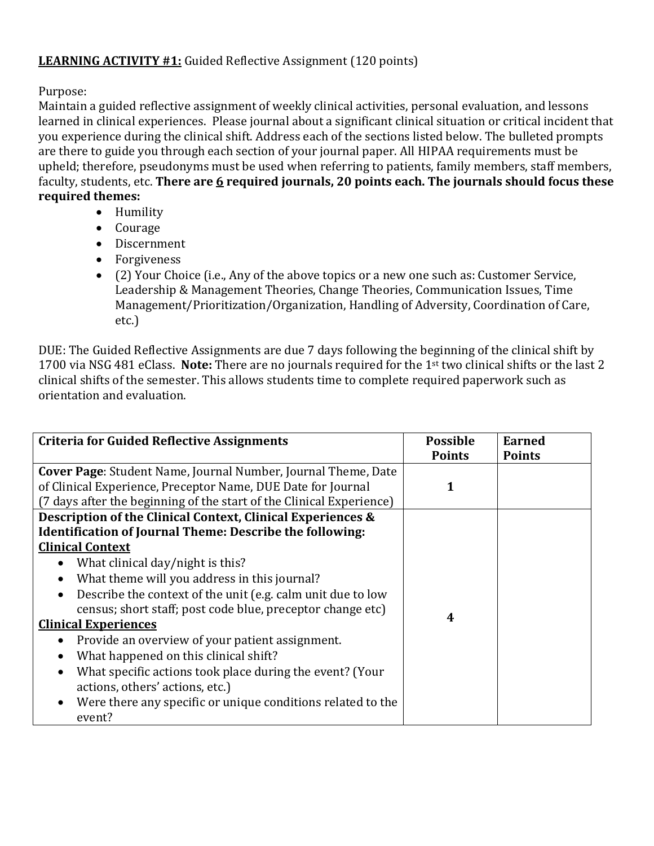## **LEARNING ACTIVITY #1:** Guided Reflective Assignment (120 points)

Purpose:

Maintain a guided reflective assignment of weekly clinical activities, personal evaluation, and lessons learned in clinical experiences. Please journal about a significant clinical situation or critical incident that you experience during the clinical shift. Address each of the sections listed below. The bulleted prompts are there to guide you through each section of your journal paper. All HIPAA requirements must be upheld; therefore, pseudonyms must be used when referring to patients, family members, staff members, faculty, students, etc. **There are 6 required journals, 20 points each. The journals should focus these required themes:** 

- Humility
- Courage
- Discernment
- Forgiveness
- (2) Your Choice (i.e., Any of the above topics or a new one such as: Customer Service, Leadership & Management Theories, Change Theories, Communication Issues, Time Management/Prioritization/Organization, Handling of Adversity, Coordination of Care, etc.)

DUE: The Guided Reflective Assignments are due 7 days following the beginning of the clinical shift by 1700 via NSG 481 eClass. **Note:** There are no journals required for the 1st two clinical shifts or the last 2 clinical shifts of the semester. This allows students time to complete required paperwork such as orientation and evaluation.

| <b>Criteria for Guided Reflective Assignments</b>                        | <b>Possible</b> | <b>Earned</b> |
|--------------------------------------------------------------------------|-----------------|---------------|
|                                                                          | <b>Points</b>   | <b>Points</b> |
| Cover Page: Student Name, Journal Number, Journal Theme, Date            |                 |               |
| of Clinical Experience, Preceptor Name, DUE Date for Journal             | 1               |               |
| (7 days after the beginning of the start of the Clinical Experience)     |                 |               |
| Description of the Clinical Context, Clinical Experiences &              |                 |               |
| <b>Identification of Journal Theme: Describe the following:</b>          |                 |               |
| <b>Clinical Context</b>                                                  |                 |               |
| What clinical day/night is this?<br>$\bullet$                            |                 |               |
| What theme will you address in this journal?<br>$\bullet$                |                 |               |
| Describe the context of the unit (e.g. calm unit due to low<br>$\bullet$ |                 |               |
| census; short staff; post code blue, preceptor change etc)               |                 |               |
| <b>Clinical Experiences</b>                                              | 4               |               |
| Provide an overview of your patient assignment.<br>$\bullet$             |                 |               |
| What happened on this clinical shift?<br>$\bullet$                       |                 |               |
| What specific actions took place during the event? (Your<br>$\bullet$    |                 |               |
| actions, others' actions, etc.)                                          |                 |               |
| Were there any specific or unique conditions related to the<br>$\bullet$ |                 |               |
| event?                                                                   |                 |               |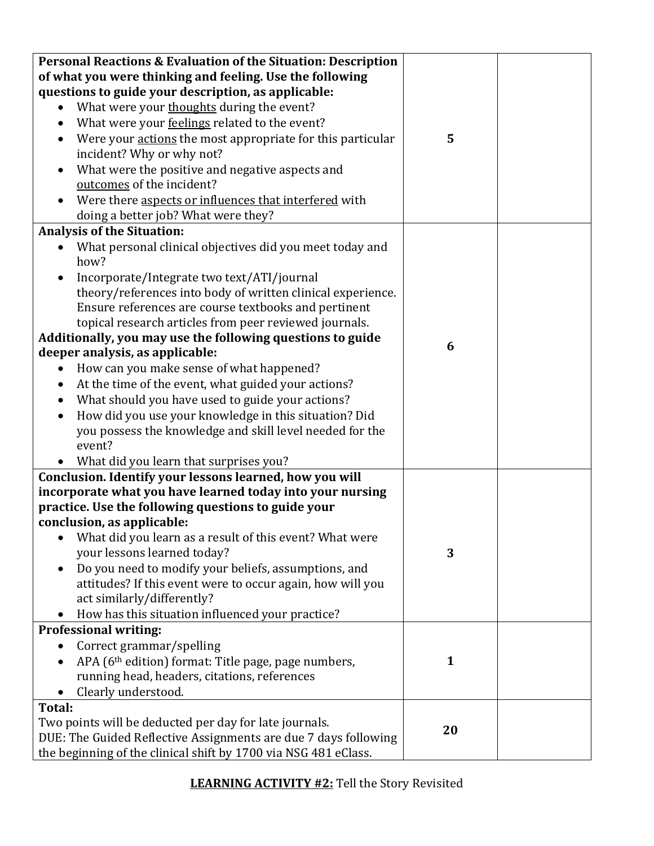| Personal Reactions & Evaluation of the Situation: Description           |              |  |
|-------------------------------------------------------------------------|--------------|--|
| of what you were thinking and feeling. Use the following                |              |  |
| questions to guide your description, as applicable:                     |              |  |
| What were your thoughts during the event?                               |              |  |
| What were your feelings related to the event?                           |              |  |
| Were your actions the most appropriate for this particular<br>$\bullet$ | 5            |  |
| incident? Why or why not?                                               |              |  |
| What were the positive and negative aspects and<br>$\bullet$            |              |  |
| outcomes of the incident?                                               |              |  |
| Were there aspects or influences that interfered with                   |              |  |
| doing a better job? What were they?                                     |              |  |
| <b>Analysis of the Situation:</b>                                       |              |  |
| What personal clinical objectives did you meet today and<br>how?        |              |  |
| Incorporate/Integrate two text/ATI/journal                              |              |  |
| theory/references into body of written clinical experience.             |              |  |
| Ensure references are course textbooks and pertinent                    |              |  |
| topical research articles from peer reviewed journals.                  |              |  |
| Additionally, you may use the following questions to guide              |              |  |
| deeper analysis, as applicable:                                         | 6            |  |
| How can you make sense of what happened?<br>$\bullet$                   |              |  |
| At the time of the event, what guided your actions?<br>$\bullet$        |              |  |
| What should you have used to guide your actions?                        |              |  |
| How did you use your knowledge in this situation? Did<br>$\bullet$      |              |  |
| you possess the knowledge and skill level needed for the                |              |  |
| event?                                                                  |              |  |
| • What did you learn that surprises you?                                |              |  |
| Conclusion. Identify your lessons learned, how you will                 |              |  |
| incorporate what you have learned today into your nursing               |              |  |
| practice. Use the following questions to guide your                     |              |  |
| conclusion, as applicable:                                              |              |  |
| What did you learn as a result of this event? What were                 |              |  |
| your lessons learned today?                                             | 3            |  |
| Do you need to modify your beliefs, assumptions, and                    |              |  |
| attitudes? If this event were to occur again, how will you              |              |  |
| act similarly/differently?                                              |              |  |
| How has this situation influenced your practice?                        |              |  |
| <b>Professional writing:</b>                                            |              |  |
| Correct grammar/spelling                                                |              |  |
| APA (6 <sup>th</sup> edition) format: Title page, page numbers,         | $\mathbf{1}$ |  |
| running head, headers, citations, references                            |              |  |
| Clearly understood.                                                     |              |  |
| Total:                                                                  |              |  |
| Two points will be deducted per day for late journals.                  | 20           |  |
| DUE: The Guided Reflective Assignments are due 7 days following         |              |  |
| the beginning of the clinical shift by 1700 via NSG 481 eClass.         |              |  |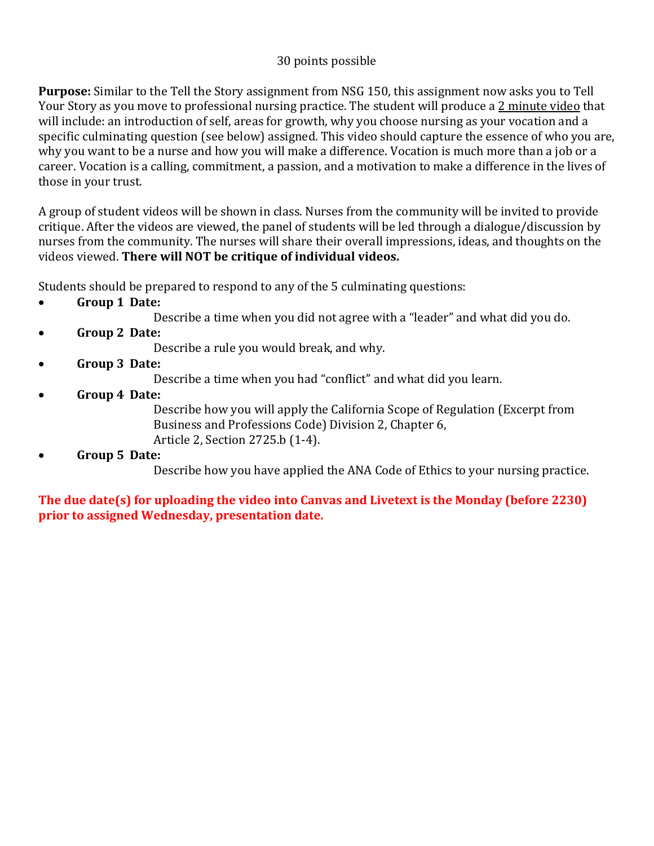## 30 points possible

**Purpose:** Similar to the Tell the Story assignment from NSG 150, this assignment now asks you to Tell Your Story as you move to professional nursing practice. The student will produce a 2 minute video that will include: an introduction of self, areas for growth, why you choose nursing as your vocation and a specific culminating question (see below) assigned. This video should capture the essence of who you are, why you want to be a nurse and how you will make a difference. Vocation is much more than a job or a career. Vocation is a calling, commitment, a passion, and a motivation to make a difference in the lives of those in your trust.

A group of student videos will be shown in class. Nurses from the community will be invited to provide critique. After the videos are viewed, the panel of students will be led through a dialogue/discussion by nurses from the community. The nurses will share their overall impressions, ideas, and thoughts on the videos viewed. **There will NOT be critique of individual videos.**

Students should be prepared to respond to any of the 5 culminating questions:

- **Group 1 Date:** 
	- Describe a time when you did not agree with a "leader" and what did you do.
- **Group 2 Date:**

Describe a rule you would break, and why.

• **Group 3 Date:**

Describe a time when you had "conflict" and what did you learn.

• **Group 4 Date:** 

Describe how you will apply the California Scope of Regulation (Excerpt from Business and Professions Code) Division 2, Chapter 6, Article 2, Section 2725.b (1-4).

• **Group 5 Date:** 

Describe how you have applied the ANA Code of Ethics to your nursing practice.

**The due date(s) for uploading the video into Canvas and Livetext is the Monday (before 2230) prior to assigned Wednesday, presentation date.**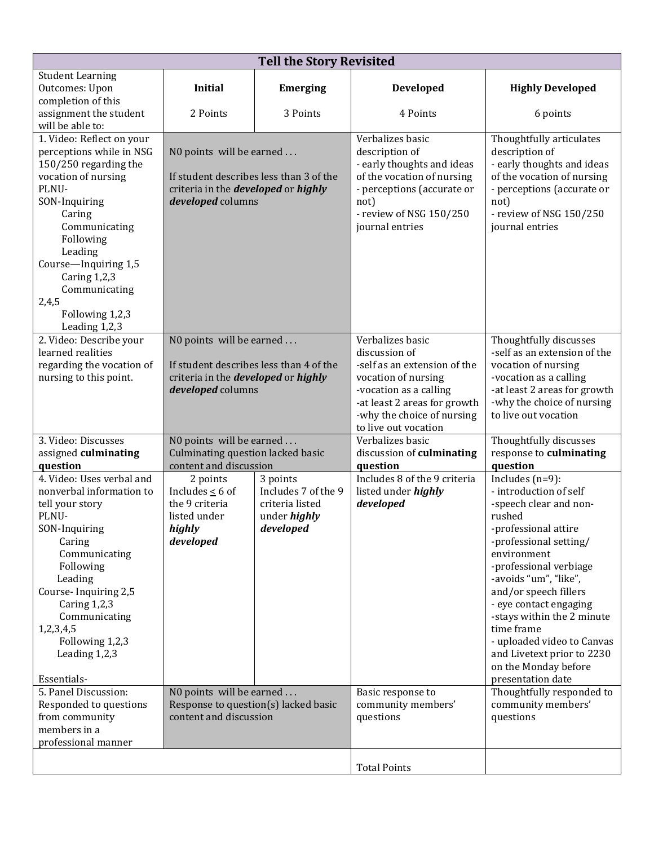| <b>Tell the Story Revisited</b>              |                                                               |                     |                                          |                                                        |  |
|----------------------------------------------|---------------------------------------------------------------|---------------------|------------------------------------------|--------------------------------------------------------|--|
| <b>Student Learning</b>                      |                                                               |                     |                                          |                                                        |  |
| Outcomes: Upon                               | <b>Initial</b>                                                | <b>Emerging</b>     | Developed                                | <b>Highly Developed</b>                                |  |
| completion of this<br>assignment the student | 2 Points                                                      | 3 Points            | 4 Points                                 | 6 points                                               |  |
| will be able to:                             |                                                               |                     |                                          |                                                        |  |
| 1. Video: Reflect on your                    |                                                               |                     | Verbalizes basic                         | Thoughtfully articulates                               |  |
| perceptions while in NSG                     | N0 points will be earned                                      |                     | description of                           | description of                                         |  |
| 150/250 regarding the                        |                                                               |                     | - early thoughts and ideas               | - early thoughts and ideas                             |  |
| vocation of nursing                          | If student describes less than 3 of the                       |                     | of the vocation of nursing               | of the vocation of nursing                             |  |
| PLNU-                                        | criteria in the <i>developed</i> or <i>highly</i>             |                     | - perceptions (accurate or               | - perceptions (accurate or                             |  |
| SON-Inquiring                                | developed columns                                             |                     | not)                                     | not)                                                   |  |
| Caring                                       |                                                               |                     | - review of NSG 150/250                  | - review of NSG 150/250                                |  |
| Communicating<br>Following                   |                                                               |                     | journal entries                          | journal entries                                        |  |
| Leading                                      |                                                               |                     |                                          |                                                        |  |
| Course-Inquiring 1,5                         |                                                               |                     |                                          |                                                        |  |
| Caring $1,2,3$                               |                                                               |                     |                                          |                                                        |  |
| Communicating                                |                                                               |                     |                                          |                                                        |  |
| 2,4,5                                        |                                                               |                     |                                          |                                                        |  |
| Following 1,2,3                              |                                                               |                     |                                          |                                                        |  |
| Leading 1,2,3                                |                                                               |                     |                                          |                                                        |  |
| 2. Video: Describe your<br>learned realities | N0 points will be earned                                      |                     | Verbalizes basic<br>discussion of        | Thoughtfully discusses<br>-self as an extension of the |  |
| regarding the vocation of                    | If student describes less than 4 of the                       |                     | -self as an extension of the             | vocation of nursing                                    |  |
| nursing to this point.                       | criteria in the <i>developed</i> or <i>highly</i>             |                     | vocation of nursing                      | -vocation as a calling                                 |  |
|                                              | developed columns                                             |                     | -vocation as a calling                   | -at least 2 areas for growth                           |  |
|                                              |                                                               |                     | -at least 2 areas for growth             | -why the choice of nursing                             |  |
|                                              |                                                               |                     | -why the choice of nursing               | to live out vocation                                   |  |
| 3. Video: Discusses                          |                                                               |                     | to live out vocation<br>Verbalizes basic |                                                        |  |
| assigned culminating                         | N0 points will be earned<br>Culminating question lacked basic |                     | discussion of culminating                | Thoughtfully discusses<br>response to culminating      |  |
| question                                     | content and discussion                                        |                     | question                                 | question                                               |  |
| 4. Video: Uses verbal and                    | 2 points                                                      | 3 points            | Includes 8 of the 9 criteria             | Includes $(n=9)$ :                                     |  |
| nonverbal information to                     | Includes $\leq 6$ of                                          | Includes 7 of the 9 | listed under highly                      | - introduction of self                                 |  |
| tell your story                              | the 9 criteria                                                | criteria listed     | developed                                | -speech clear and non-                                 |  |
| PLNU-                                        | listed under                                                  | under <i>highly</i> |                                          | rushed                                                 |  |
| SON-Inquiring                                | highly                                                        | developed           |                                          | -professional attire                                   |  |
| Caring                                       | developed                                                     |                     |                                          | -professional setting/                                 |  |
| Communicating<br>Following                   |                                                               |                     |                                          | environment<br>-professional verbiage                  |  |
| Leading                                      |                                                               |                     |                                          | -avoids "um", "like",                                  |  |
| Course-Inquiring 2,5                         |                                                               |                     |                                          | and/or speech fillers                                  |  |
| Caring 1,2,3                                 |                                                               |                     |                                          | - eye contact engaging                                 |  |
| Communicating                                |                                                               |                     |                                          | -stays within the 2 minute                             |  |
| 1,2,3,4,5                                    |                                                               |                     |                                          | time frame                                             |  |
| Following 1,2,3                              |                                                               |                     |                                          | - uploaded video to Canvas                             |  |
| Leading 1,2,3                                |                                                               |                     |                                          | and Livetext prior to 2230                             |  |
| Essentials-                                  |                                                               |                     |                                          | on the Monday before<br>presentation date              |  |
| 5. Panel Discussion:                         | NO points will be earned                                      |                     | Basic response to                        | Thoughtfully responded to                              |  |
| Responded to questions                       | Response to question(s) lacked basic                          |                     | community members'                       | community members'                                     |  |
| from community                               | content and discussion                                        |                     | questions                                | questions                                              |  |
| members in a                                 |                                                               |                     |                                          |                                                        |  |
| professional manner                          |                                                               |                     |                                          |                                                        |  |
|                                              |                                                               |                     | <b>Total Points</b>                      |                                                        |  |
|                                              |                                                               |                     |                                          |                                                        |  |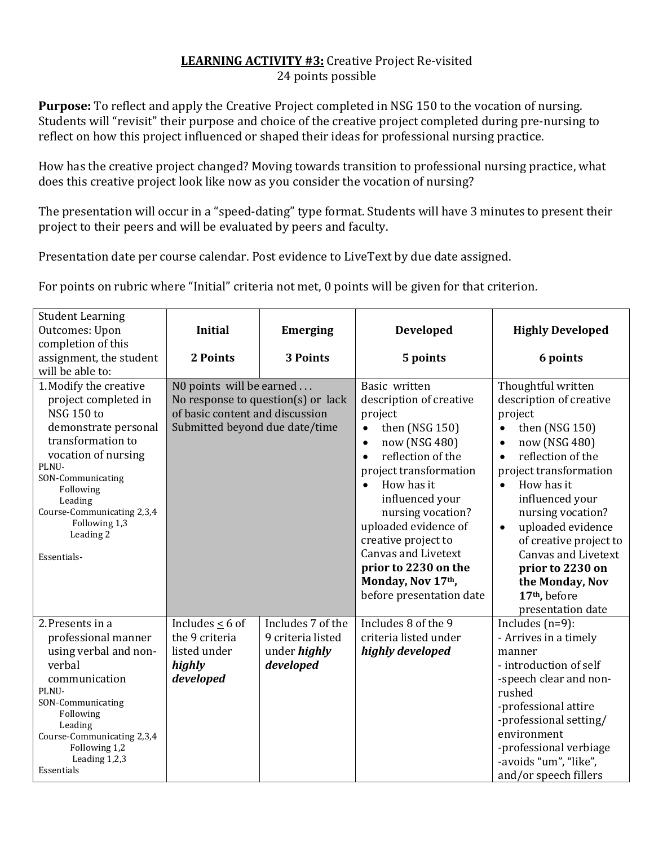#### **LEARNING ACTIVITY #3:** Creative Project Re-visited 24 points possible

**Purpose:** To reflect and apply the Creative Project completed in NSG 150 to the vocation of nursing. Students will "revisit" their purpose and choice of the creative project completed during pre-nursing to reflect on how this project influenced or shaped their ideas for professional nursing practice.

How has the creative project changed? Moving towards transition to professional nursing practice, what does this creative project look like now as you consider the vocation of nursing?

The presentation will occur in a "speed-dating" type format. Students will have 3 minutes to present their project to their peers and will be evaluated by peers and faculty.

Presentation date per course calendar. Post evidence to LiveText by due date assigned.

For points on rubric where "Initial" criteria not met, 0 points will be given for that criterion.

| <b>Student Learning</b>                                                                                                                                                                                                                                                  |                                                                                                                                     |                     |                                                                                                                                                                                                                                                                                                                                         |                                                                                                                                                                                                                                                                                                                                                       |
|--------------------------------------------------------------------------------------------------------------------------------------------------------------------------------------------------------------------------------------------------------------------------|-------------------------------------------------------------------------------------------------------------------------------------|---------------------|-----------------------------------------------------------------------------------------------------------------------------------------------------------------------------------------------------------------------------------------------------------------------------------------------------------------------------------------|-------------------------------------------------------------------------------------------------------------------------------------------------------------------------------------------------------------------------------------------------------------------------------------------------------------------------------------------------------|
| Outcomes: Upon                                                                                                                                                                                                                                                           | <b>Initial</b>                                                                                                                      | <b>Emerging</b>     | <b>Developed</b>                                                                                                                                                                                                                                                                                                                        | <b>Highly Developed</b>                                                                                                                                                                                                                                                                                                                               |
| completion of this                                                                                                                                                                                                                                                       |                                                                                                                                     |                     |                                                                                                                                                                                                                                                                                                                                         |                                                                                                                                                                                                                                                                                                                                                       |
| assignment, the student                                                                                                                                                                                                                                                  | 2 Points                                                                                                                            | <b>3 Points</b>     | 5 points                                                                                                                                                                                                                                                                                                                                | 6 points                                                                                                                                                                                                                                                                                                                                              |
| will be able to:                                                                                                                                                                                                                                                         |                                                                                                                                     |                     |                                                                                                                                                                                                                                                                                                                                         |                                                                                                                                                                                                                                                                                                                                                       |
| 1. Modify the creative<br>project completed in<br><b>NSG 150 to</b><br>demonstrate personal<br>transformation to<br>vocation of nursing<br>PLNU-<br>SON-Communicating<br>Following<br>Leading<br>Course-Communicating 2,3,4<br>Following 1,3<br>Leading 2<br>Essentials- | N0 points will be earned<br>No response to question(s) or lack<br>of basic content and discussion<br>Submitted beyond due date/time |                     | Basic written<br>description of creative<br>project<br>then (NSG 150)<br>$\bullet$<br>now (NSG 480)<br>$\bullet$<br>reflection of the<br>project transformation<br>How has it<br>$\bullet$<br>influenced your<br>nursing vocation?<br>uploaded evidence of<br>creative project to<br><b>Canvas and Livetext</b><br>prior to 2230 on the | Thoughtful written<br>description of creative<br>project<br>then (NSG 150)<br>$\bullet$<br>now (NSG 480)<br>$\bullet$<br>reflection of the<br>project transformation<br>How has it<br>$\bullet$<br>influenced your<br>nursing vocation?<br>uploaded evidence<br>$\bullet$<br>of creative project to<br><b>Canvas and Livetext</b><br>prior to 2230 on |
|                                                                                                                                                                                                                                                                          |                                                                                                                                     |                     | Monday, Nov 17th,<br>before presentation date                                                                                                                                                                                                                                                                                           | the Monday, Nov<br>17 <sup>th</sup> , before<br>presentation date                                                                                                                                                                                                                                                                                     |
| 2. Presents in a                                                                                                                                                                                                                                                         | Includes $\leq 6$ of                                                                                                                | Includes 7 of the   | Includes 8 of the $9$                                                                                                                                                                                                                                                                                                                   | Includes $(n=9)$ :                                                                                                                                                                                                                                                                                                                                    |
| professional manner                                                                                                                                                                                                                                                      | the 9 criteria                                                                                                                      | 9 criteria listed   | criteria listed under                                                                                                                                                                                                                                                                                                                   | - Arrives in a timely                                                                                                                                                                                                                                                                                                                                 |
| using verbal and non-                                                                                                                                                                                                                                                    | listed under                                                                                                                        | under <i>highly</i> | highly developed                                                                                                                                                                                                                                                                                                                        | manner                                                                                                                                                                                                                                                                                                                                                |
| verbal                                                                                                                                                                                                                                                                   | highly                                                                                                                              | developed           |                                                                                                                                                                                                                                                                                                                                         | - introduction of self                                                                                                                                                                                                                                                                                                                                |
| communication                                                                                                                                                                                                                                                            | developed                                                                                                                           |                     |                                                                                                                                                                                                                                                                                                                                         | -speech clear and non-                                                                                                                                                                                                                                                                                                                                |
| PLNU-                                                                                                                                                                                                                                                                    |                                                                                                                                     |                     |                                                                                                                                                                                                                                                                                                                                         | rushed                                                                                                                                                                                                                                                                                                                                                |
| SON-Communicating                                                                                                                                                                                                                                                        |                                                                                                                                     |                     |                                                                                                                                                                                                                                                                                                                                         | -professional attire                                                                                                                                                                                                                                                                                                                                  |
| Following                                                                                                                                                                                                                                                                |                                                                                                                                     |                     |                                                                                                                                                                                                                                                                                                                                         | -professional setting/                                                                                                                                                                                                                                                                                                                                |
| Leading<br>Course-Communicating 2,3,4                                                                                                                                                                                                                                    |                                                                                                                                     |                     |                                                                                                                                                                                                                                                                                                                                         | environment                                                                                                                                                                                                                                                                                                                                           |
| Following 1,2                                                                                                                                                                                                                                                            |                                                                                                                                     |                     |                                                                                                                                                                                                                                                                                                                                         | -professional verbiage                                                                                                                                                                                                                                                                                                                                |
| Leading 1,2,3                                                                                                                                                                                                                                                            |                                                                                                                                     |                     |                                                                                                                                                                                                                                                                                                                                         | -avoids "um", "like",                                                                                                                                                                                                                                                                                                                                 |
| Essentials                                                                                                                                                                                                                                                               |                                                                                                                                     |                     |                                                                                                                                                                                                                                                                                                                                         | and/or speech fillers                                                                                                                                                                                                                                                                                                                                 |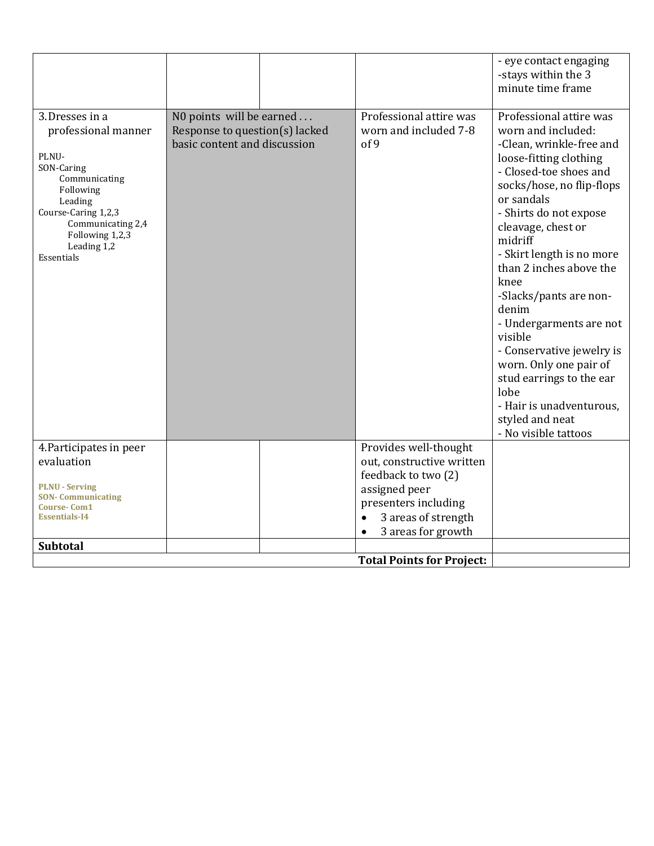|                                                                                                                                                                                                   |                                                                                            |                                                                                                                                                                                           | - eye contact engaging<br>-stays within the 3<br>minute time frame                                                                                                                                                                                                                                                                                                                                                                                                                                                                             |
|---------------------------------------------------------------------------------------------------------------------------------------------------------------------------------------------------|--------------------------------------------------------------------------------------------|-------------------------------------------------------------------------------------------------------------------------------------------------------------------------------------------|------------------------------------------------------------------------------------------------------------------------------------------------------------------------------------------------------------------------------------------------------------------------------------------------------------------------------------------------------------------------------------------------------------------------------------------------------------------------------------------------------------------------------------------------|
| 3.Dresses in a<br>professional manner<br>PLNU-<br>SON-Caring<br>Communicating<br>Following<br>Leading<br>Course-Caring 1,2,3<br>Communicating 2,4<br>Following 1,2,3<br>Leading 1,2<br>Essentials | N0 points will be earned<br>Response to question(s) lacked<br>basic content and discussion | Professional attire was<br>worn and included 7-8<br>of 9                                                                                                                                  | Professional attire was<br>worn and included:<br>-Clean, wrinkle-free and<br>loose-fitting clothing<br>- Closed-toe shoes and<br>socks/hose, no flip-flops<br>or sandals<br>- Shirts do not expose<br>cleavage, chest or<br>midriff<br>- Skirt length is no more<br>than 2 inches above the<br>knee<br>-Slacks/pants are non-<br>denim<br>- Undergarments are not<br>visible<br>- Conservative jewelry is<br>worn. Only one pair of<br>stud earrings to the ear<br>lobe<br>- Hair is unadventurous.<br>styled and neat<br>- No visible tattoos |
| 4. Participates in peer<br>evaluation<br><b>PLNU - Serving</b><br><b>SON- Communicating</b><br><b>Course-Com1</b><br><b>Essentials-I4</b>                                                         |                                                                                            | Provides well-thought<br>out, constructive written<br>feedback to two (2)<br>assigned peer<br>presenters including<br>3 areas of strength<br>$\bullet$<br>3 areas for growth<br>$\bullet$ |                                                                                                                                                                                                                                                                                                                                                                                                                                                                                                                                                |
| <b>Subtotal</b>                                                                                                                                                                                   |                                                                                            | <b>Total Points for Project:</b>                                                                                                                                                          |                                                                                                                                                                                                                                                                                                                                                                                                                                                                                                                                                |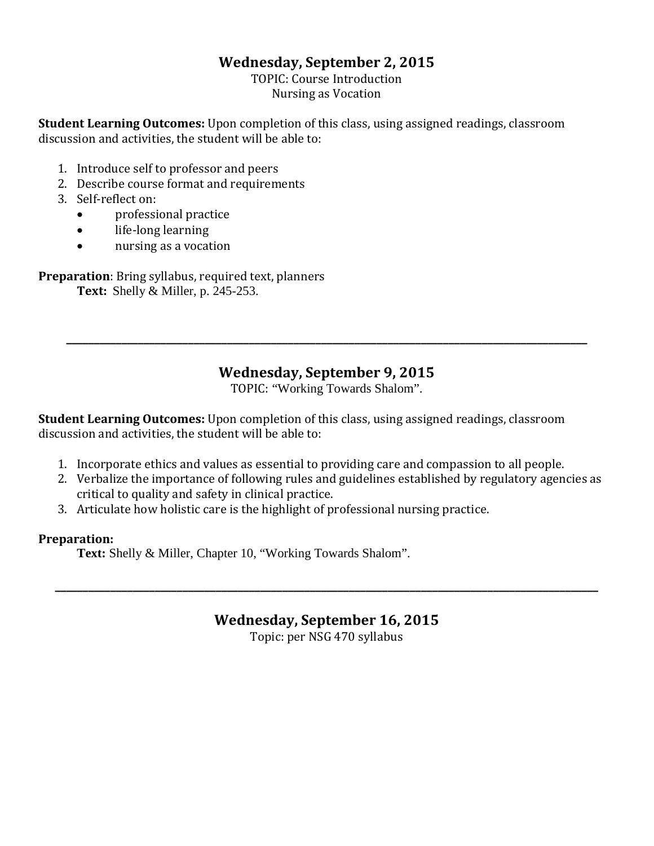## **Wednesday, September 2, 2015**

TOPIC: Course Introduction Nursing as Vocation

**Student Learning Outcomes:** Upon completion of this class, using assigned readings, classroom discussion and activities, the student will be able to:

- 1. Introduce self to professor and peers
- 2. Describe course format and requirements
- 3. Self-reflect on:
	- professional practice
	- life-long learning
	- nursing as a vocation

**Preparation**: Bring syllabus, required text, planners **Text:** Shelly & Miller, p. 245-253.

## **Wednesday, September 9, 2015**

**\_\_\_\_\_\_\_\_\_\_\_\_\_\_\_\_\_\_\_\_\_\_\_\_\_\_\_\_\_\_\_\_\_\_\_\_\_\_\_\_\_\_\_\_\_\_\_\_\_\_\_\_\_\_\_\_\_\_\_\_\_\_\_\_\_\_\_\_\_\_\_\_\_\_\_\_\_\_\_\_\_\_\_\_\_\_\_\_\_\_\_\_\_\_**

TOPIC: "Working Towards Shalom".

**Student Learning Outcomes:** Upon completion of this class, using assigned readings, classroom discussion and activities, the student will be able to:

- 1. Incorporate ethics and values as essential to providing care and compassion to all people.
- 2. Verbalize the importance of following rules and guidelines established by regulatory agencies as critical to quality and safety in clinical practice.
- 3. Articulate how holistic care is the highlight of professional nursing practice.

#### **Preparation:**

**Text:** Shelly & Miller, Chapter 10, "Working Towards Shalom".

## **Wednesday, September 16, 2015**

**\_\_\_\_\_\_\_\_\_\_\_\_\_\_\_\_\_\_\_\_\_\_\_\_\_\_\_\_\_\_\_\_\_\_\_\_\_\_\_\_\_\_\_\_\_\_\_\_\_\_\_\_\_\_\_\_\_\_\_\_\_\_\_\_\_\_\_\_\_\_\_\_\_\_\_\_\_\_\_\_\_\_\_\_\_\_\_\_\_\_\_\_\_\_\_\_\_\_**

Topic: per NSG 470 syllabus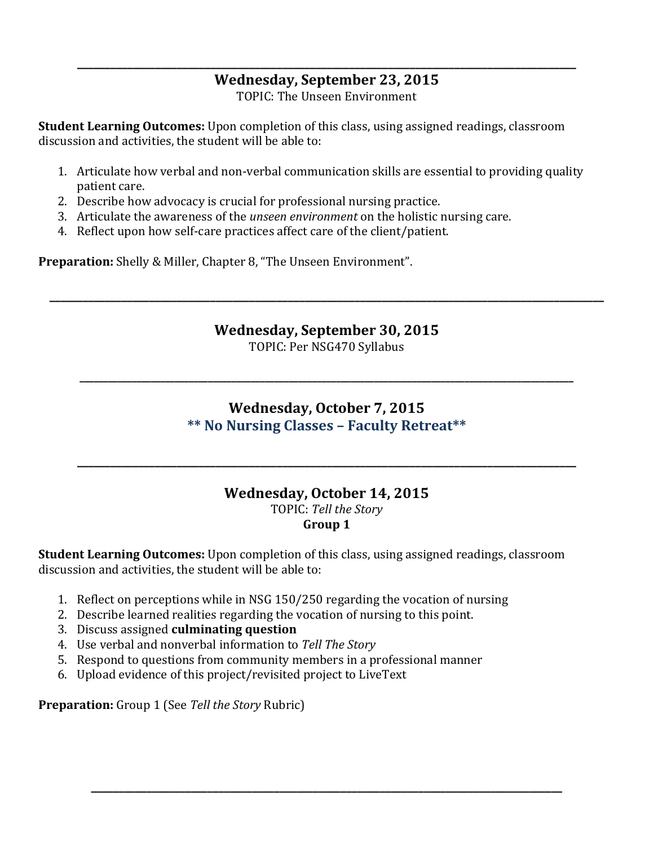## **\_\_\_\_\_\_\_\_\_\_\_\_\_\_\_\_\_\_\_\_\_\_\_\_\_\_\_\_\_\_\_\_\_\_\_\_\_\_\_\_\_\_\_\_\_\_\_\_\_\_\_\_\_\_\_\_\_\_\_\_\_\_\_\_\_\_\_\_\_\_\_\_\_\_\_\_\_\_\_\_\_\_\_\_\_\_\_\_\_\_ Wednesday, September 23, 2015**

TOPIC: The Unseen Environment

**Student Learning Outcomes:** Upon completion of this class, using assigned readings, classroom discussion and activities, the student will be able to:

- 1. Articulate how verbal and non-verbal communication skills are essential to providing quality patient care.
- 2. Describe how advocacy is crucial for professional nursing practice.
- 3. Articulate the awareness of the *unseen environment* on the holistic nursing care.
- 4. Reflect upon how self-care practices affect care of the client/patient.

**Preparation:** Shelly & Miller, Chapter 8, "The Unseen Environment".

**Wednesday, September 30, 2015**

**\_\_\_\_\_\_\_\_\_\_\_\_\_\_\_\_\_\_\_\_\_\_\_\_\_\_\_\_\_\_\_\_\_\_\_\_\_\_\_\_\_\_\_\_\_\_\_\_\_\_\_\_\_\_\_\_\_\_\_\_\_\_\_\_\_\_\_\_\_\_\_\_\_\_\_\_\_\_\_\_\_\_\_\_\_\_\_\_\_\_\_\_\_\_\_\_\_\_\_\_**

TOPIC: Per NSG470 Syllabus

**\_\_\_\_\_\_\_\_\_\_\_\_\_\_\_\_\_\_\_\_\_\_\_\_\_\_\_\_\_\_\_\_\_\_\_\_\_\_\_\_\_\_\_\_\_\_\_\_\_\_\_\_\_\_\_\_\_\_\_\_\_\_\_\_\_\_\_\_\_\_\_\_\_\_\_\_\_\_\_\_\_\_\_\_\_\_\_\_\_\_\_\_\_\_\_\_\_\_\_\_\_\_\_\_**

## **Wednesday, October 7, 2015 \*\* No Nursing Classes – Faculty Retreat\*\***

# **Wednesday, October 14, 2015** TOPIC: *Tell the Story*

**\_\_\_\_\_\_\_\_\_\_\_\_\_\_\_\_\_\_\_\_\_\_\_\_\_\_\_\_\_\_\_\_\_\_\_\_\_\_\_\_\_\_\_\_\_\_\_\_\_\_\_\_\_\_\_\_\_\_\_\_\_\_\_\_\_\_\_\_\_\_\_\_\_\_\_\_\_\_\_\_\_\_\_\_\_\_\_\_\_\_**

**Group 1**

**\_\_\_\_\_\_\_\_\_\_\_\_\_\_\_\_\_\_\_\_\_\_\_\_\_\_\_\_\_\_\_\_\_\_\_\_\_\_\_\_\_\_\_\_\_\_\_\_\_\_\_\_\_\_\_\_\_\_\_\_\_\_\_\_\_\_\_\_\_\_\_\_\_\_\_\_\_\_\_\_\_\_\_\_\_**

**Student Learning Outcomes:** Upon completion of this class, using assigned readings, classroom discussion and activities, the student will be able to:

- 1. Reflect on perceptions while in NSG 150/250 regarding the vocation of nursing
- 2. Describe learned realities regarding the vocation of nursing to this point.
- 3. Discuss assigned **culminating question**
- 4. Use verbal and nonverbal information to *Tell The Story*
- 5. Respond to questions from community members in a professional manner
- 6. Upload evidence of this project/revisited project to LiveText

**Preparation:** Group 1 (See *Tell the Story* Rubric)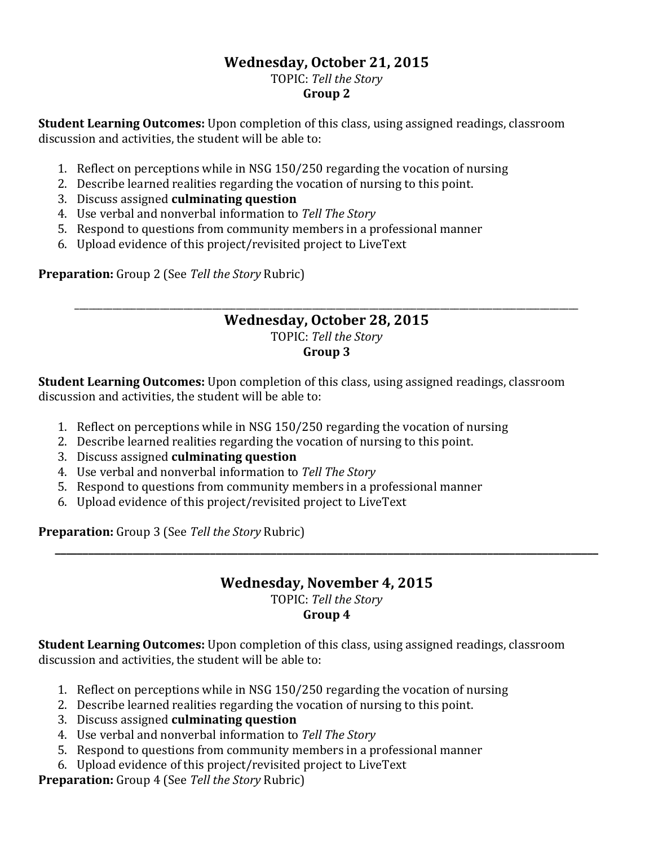#### **Wednesday, October 21, 2015** TOPIC: *Tell the Story* **Group 2**

**Student Learning Outcomes:** Upon completion of this class, using assigned readings, classroom discussion and activities, the student will be able to:

- 1. Reflect on perceptions while in NSG 150/250 regarding the vocation of nursing
- 2. Describe learned realities regarding the vocation of nursing to this point.
- 3. Discuss assigned **culminating question**
- 4. Use verbal and nonverbal information to *Tell The Story*
- 5. Respond to questions from community members in a professional manner
- 6. Upload evidence of this project/revisited project to LiveText

**Preparation:** Group 2 (See *Tell the Story* Rubric)

#### \_\_\_\_\_\_\_\_\_\_\_\_\_\_\_\_\_\_\_\_\_\_\_\_\_\_\_\_\_\_\_\_\_\_\_\_\_\_\_\_\_\_\_\_\_\_\_\_\_\_\_\_\_\_\_\_\_\_\_\_\_\_\_\_\_\_\_\_\_\_\_\_\_\_\_\_\_\_\_\_\_\_\_\_\_\_\_\_\_\_\_\_\_\_\_\_\_\_\_\_\_\_\_\_\_\_ **Wednesday, October 28, 2015** TOPIC: *Tell the Story* **Group 3**

**Student Learning Outcomes:** Upon completion of this class, using assigned readings, classroom discussion and activities, the student will be able to:

- 1. Reflect on perceptions while in NSG 150/250 regarding the vocation of nursing
- 2. Describe learned realities regarding the vocation of nursing to this point.
- 3. Discuss assigned **culminating question**
- 4. Use verbal and nonverbal information to *Tell The Story*
- 5. Respond to questions from community members in a professional manner
- 6. Upload evidence of this project/revisited project to LiveText

**Preparation:** Group 3 (See *Tell the Story* Rubric)

#### **Wednesday, November 4, 2015** TOPIC: *Tell the Story* **Group 4**

**\_\_\_\_\_\_\_\_\_\_\_\_\_\_\_\_\_\_\_\_\_\_\_\_\_\_\_\_\_\_\_\_\_\_\_\_\_\_\_\_\_\_\_\_\_\_\_\_\_\_\_\_\_\_\_\_\_\_\_\_\_\_\_\_\_\_\_\_\_\_\_\_\_\_\_\_\_\_\_\_\_\_\_\_\_\_\_\_\_\_\_\_\_\_\_\_\_\_**

**Student Learning Outcomes:** Upon completion of this class, using assigned readings, classroom discussion and activities, the student will be able to:

- 1. Reflect on perceptions while in NSG 150/250 regarding the vocation of nursing
- 2. Describe learned realities regarding the vocation of nursing to this point.
- 3. Discuss assigned **culminating question**
- 4. Use verbal and nonverbal information to *Tell The Story*
- 5. Respond to questions from community members in a professional manner
- 6. Upload evidence of this project/revisited project to LiveText

**Preparation:** Group 4 (See *Tell the Story* Rubric)